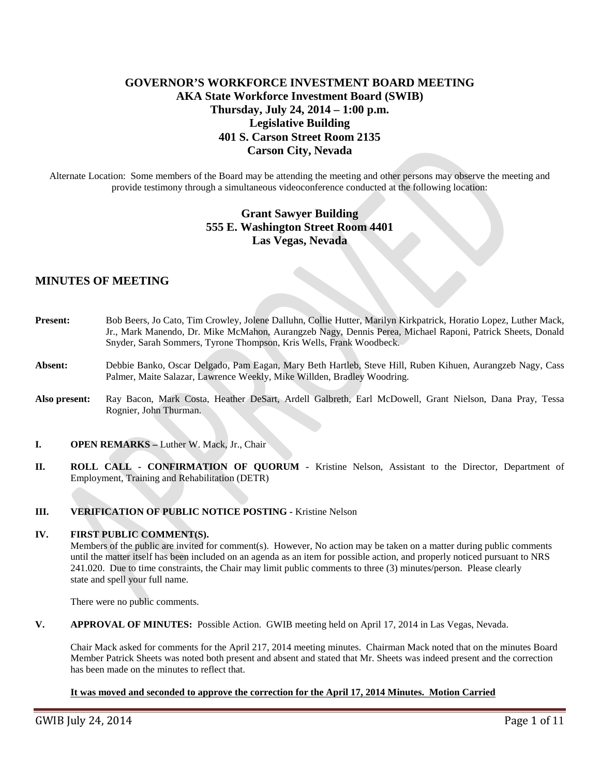# **GOVERNOR'S WORKFORCE INVESTMENT BOARD MEETING AKA State Workforce Investment Board (SWIB) Thursday, July 24, 2014 – 1:00 p.m. Legislative Building 401 S. Carson Street Room 2135 Carson City, Nevada**

Alternate Location: Some members of the Board may be attending the meeting and other persons may observe the meeting and provide testimony through a simultaneous videoconference conducted at the following location:

# **Grant Sawyer Building 555 E. Washington Street Room 4401 Las Vegas, Nevada**

## **MINUTES OF MEETING**

- **Present:** Bob Beers, Jo Cato, Tim Crowley, Jolene Dalluhn, Collie Hutter, Marilyn Kirkpatrick, Horatio Lopez, Luther Mack, Jr., Mark Manendo, Dr. Mike McMahon, Aurangzeb Nagy, Dennis Perea, Michael Raponi, Patrick Sheets, Donald Snyder, Sarah Sommers, Tyrone Thompson, Kris Wells, Frank Woodbeck.
- **Absent:** Debbie Banko, Oscar Delgado, Pam Eagan, Mary Beth Hartleb, Steve Hill, Ruben Kihuen, Aurangzeb Nagy, Cass Palmer, Maite Salazar, Lawrence Weekly, Mike Willden, Bradley Woodring.
- **Also present:** Ray Bacon, Mark Costa, Heather DeSart, Ardell Galbreth, Earl McDowell, Grant Nielson, Dana Pray, Tessa Rognier, John Thurman.
- **I. OPEN REMARKS –** Luther W. Mack, Jr., Chair
- **II. ROLL CALL - CONFIRMATION OF QUORUM -** Kristine Nelson, Assistant to the Director, Department of Employment, Training and Rehabilitation (DETR)

## **III. VERIFICATION OF PUBLIC NOTICE POSTING -** Kristine Nelson

#### **IV. FIRST PUBLIC COMMENT(S).**

Members of the public are invited for comment(s). However, No action may be taken on a matter during public comments until the matter itself has been included on an agenda as an item for possible action, and properly noticed pursuant to NRS 241.020. Due to time constraints, the Chair may limit public comments to three (3) minutes/person. Please clearly state and spell your full name.

There were no public comments.

**V. APPROVAL OF MINUTES:** Possible Action. GWIB meeting held on April 17, 2014 in Las Vegas, Nevada.

Chair Mack asked for comments for the April 217, 2014 meeting minutes. Chairman Mack noted that on the minutes Board Member Patrick Sheets was noted both present and absent and stated that Mr. Sheets was indeed present and the correction has been made on the minutes to reflect that.

## **It was moved and seconded to approve the correction for the April 17, 2014 Minutes. Motion Carried**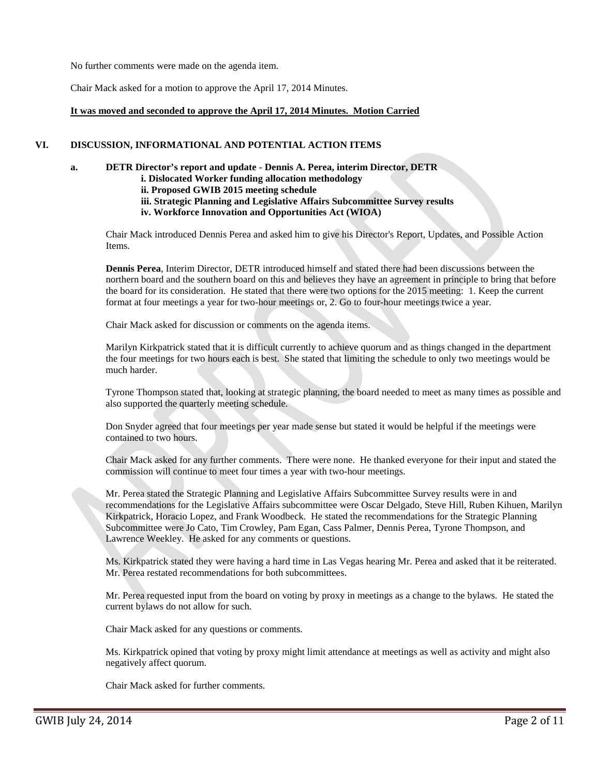No further comments were made on the agenda item.

Chair Mack asked for a motion to approve the April 17, 2014 Minutes.

## **It was moved and seconded to approve the April 17, 2014 Minutes. Motion Carried**

## **VI. DISCUSSION, INFORMATIONAL AND POTENTIAL ACTION ITEMS**

### **a. DETR Director's report and update - Dennis A. Perea, interim Director, DETR**

**i. Dislocated Worker funding allocation methodology**

**ii. Proposed GWIB 2015 meeting schedule**

**iii. Strategic Planning and Legislative Affairs Subcommittee Survey results**

**iv. Workforce Innovation and Opportunities Act (WIOA)**

Chair Mack introduced Dennis Perea and asked him to give his Director's Report, Updates, and Possible Action Items.

**Dennis Perea**, Interim Director, DETR introduced himself and stated there had been discussions between the northern board and the southern board on this and believes they have an agreement in principle to bring that before the board for its consideration. He stated that there were two options for the 2015 meeting: 1. Keep the current format at four meetings a year for two-hour meetings or, 2. Go to four-hour meetings twice a year.

Chair Mack asked for discussion or comments on the agenda items.

Marilyn Kirkpatrick stated that it is difficult currently to achieve quorum and as things changed in the department the four meetings for two hours each is best. She stated that limiting the schedule to only two meetings would be much harder.

Tyrone Thompson stated that, looking at strategic planning, the board needed to meet as many times as possible and also supported the quarterly meeting schedule.

Don Snyder agreed that four meetings per year made sense but stated it would be helpful if the meetings were contained to two hours.

Chair Mack asked for any further comments. There were none. He thanked everyone for their input and stated the commission will continue to meet four times a year with two-hour meetings.

Mr. Perea stated the Strategic Planning and Legislative Affairs Subcommittee Survey results were in and recommendations for the Legislative Affairs subcommittee were Oscar Delgado, Steve Hill, Ruben Kihuen, Marilyn Kirkpatrick, Horacio Lopez, and Frank Woodbeck. He stated the recommendations for the Strategic Planning Subcommittee were Jo Cato, Tim Crowley, Pam Egan, Cass Palmer, Dennis Perea, Tyrone Thompson, and Lawrence Weekley. He asked for any comments or questions.

Ms. Kirkpatrick stated they were having a hard time in Las Vegas hearing Mr. Perea and asked that it be reiterated. Mr. Perea restated recommendations for both subcommittees.

Mr. Perea requested input from the board on voting by proxy in meetings as a change to the bylaws. He stated the current bylaws do not allow for such.

Chair Mack asked for any questions or comments.

Ms. Kirkpatrick opined that voting by proxy might limit attendance at meetings as well as activity and might also negatively affect quorum.

Chair Mack asked for further comments.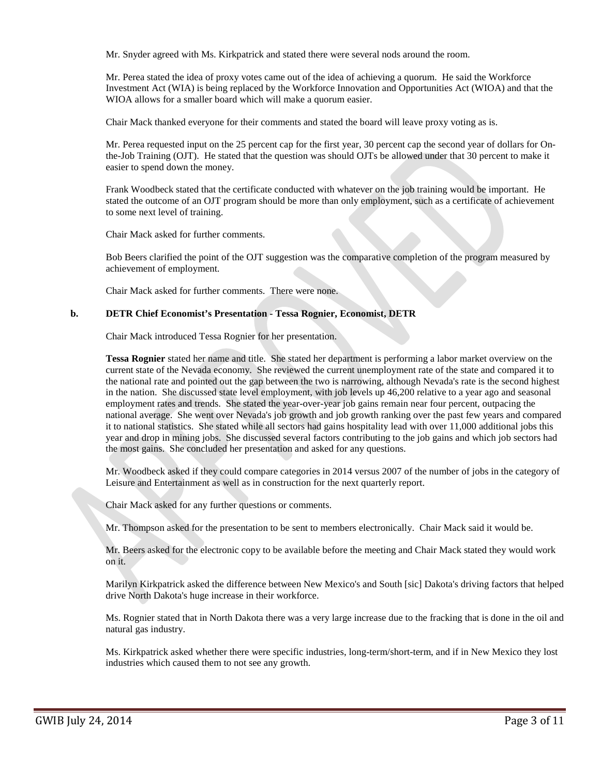Mr. Snyder agreed with Ms. Kirkpatrick and stated there were several nods around the room.

Mr. Perea stated the idea of proxy votes came out of the idea of achieving a quorum. He said the Workforce Investment Act (WIA) is being replaced by the Workforce Innovation and Opportunities Act (WIOA) and that the WIOA allows for a smaller board which will make a quorum easier.

Chair Mack thanked everyone for their comments and stated the board will leave proxy voting as is.

Mr. Perea requested input on the 25 percent cap for the first year, 30 percent cap the second year of dollars for Onthe-Job Training (OJT). He stated that the question was should OJTs be allowed under that 30 percent to make it easier to spend down the money.

Frank Woodbeck stated that the certificate conducted with whatever on the job training would be important. He stated the outcome of an OJT program should be more than only employment, such as a certificate of achievement to some next level of training.

Chair Mack asked for further comments.

Bob Beers clarified the point of the OJT suggestion was the comparative completion of the program measured by achievement of employment.

Chair Mack asked for further comments. There were none.

#### **b. DETR Chief Economist's Presentation - Tessa Rognier, Economist, DETR**

Chair Mack introduced Tessa Rognier for her presentation.

**Tessa Rognier** stated her name and title. She stated her department is performing a labor market overview on the current state of the Nevada economy. She reviewed the current unemployment rate of the state and compared it to the national rate and pointed out the gap between the two is narrowing, although Nevada's rate is the second highest in the nation. She discussed state level employment, with job levels up 46,200 relative to a year ago and seasonal employment rates and trends. She stated the year-over-year job gains remain near four percent, outpacing the national average. She went over Nevada's job growth and job growth ranking over the past few years and compared it to national statistics. She stated while all sectors had gains hospitality lead with over 11,000 additional jobs this year and drop in mining jobs. She discussed several factors contributing to the job gains and which job sectors had the most gains. She concluded her presentation and asked for any questions.

Mr. Woodbeck asked if they could compare categories in 2014 versus 2007 of the number of jobs in the category of Leisure and Entertainment as well as in construction for the next quarterly report.

Chair Mack asked for any further questions or comments.

Mr. Thompson asked for the presentation to be sent to members electronically. Chair Mack said it would be.

Mr. Beers asked for the electronic copy to be available before the meeting and Chair Mack stated they would work on it.

Marilyn Kirkpatrick asked the difference between New Mexico's and South [sic] Dakota's driving factors that helped drive North Dakota's huge increase in their workforce.

Ms. Rognier stated that in North Dakota there was a very large increase due to the fracking that is done in the oil and natural gas industry.

Ms. Kirkpatrick asked whether there were specific industries, long-term/short-term, and if in New Mexico they lost industries which caused them to not see any growth.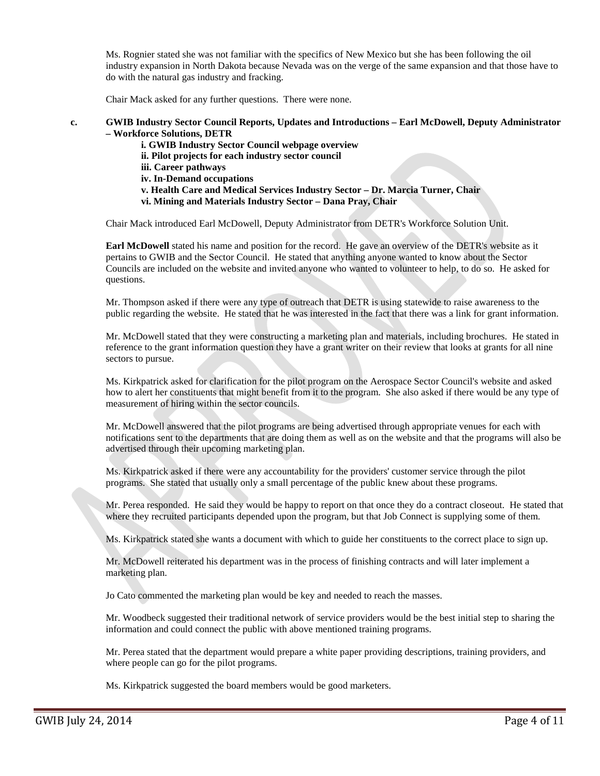Ms. Rognier stated she was not familiar with the specifics of New Mexico but she has been following the oil industry expansion in North Dakota because Nevada was on the verge of the same expansion and that those have to do with the natural gas industry and fracking.

Chair Mack asked for any further questions. There were none.

### **c. GWIB Industry Sector Council Reports, Updates and Introductions – Earl McDowell, Deputy Administrator – Workforce Solutions, DETR**

**i. GWIB Industry Sector Council webpage overview ii. Pilot projects for each industry sector council iii. Career pathways iv. In-Demand occupations v. Health Care and Medical Services Industry Sector – Dr. Marcia Turner, Chair vi. Mining and Materials Industry Sector – Dana Pray, Chair**

Chair Mack introduced Earl McDowell, Deputy Administrator from DETR's Workforce Solution Unit.

**Earl McDowell** stated his name and position for the record. He gave an overview of the DETR's website as it pertains to GWIB and the Sector Council. He stated that anything anyone wanted to know about the Sector Councils are included on the website and invited anyone who wanted to volunteer to help, to do so. He asked for questions.

Mr. Thompson asked if there were any type of outreach that DETR is using statewide to raise awareness to the public regarding the website. He stated that he was interested in the fact that there was a link for grant information.

Mr. McDowell stated that they were constructing a marketing plan and materials, including brochures. He stated in reference to the grant information question they have a grant writer on their review that looks at grants for all nine sectors to pursue.

Ms. Kirkpatrick asked for clarification for the pilot program on the Aerospace Sector Council's website and asked how to alert her constituents that might benefit from it to the program. She also asked if there would be any type of measurement of hiring within the sector councils.

Mr. McDowell answered that the pilot programs are being advertised through appropriate venues for each with notifications sent to the departments that are doing them as well as on the website and that the programs will also be advertised through their upcoming marketing plan.

Ms. Kirkpatrick asked if there were any accountability for the providers' customer service through the pilot programs. She stated that usually only a small percentage of the public knew about these programs.

Mr. Perea responded. He said they would be happy to report on that once they do a contract closeout. He stated that where they recruited participants depended upon the program, but that Job Connect is supplying some of them.

Ms. Kirkpatrick stated she wants a document with which to guide her constituents to the correct place to sign up.

Mr. McDowell reiterated his department was in the process of finishing contracts and will later implement a marketing plan.

Jo Cato commented the marketing plan would be key and needed to reach the masses.

Mr. Woodbeck suggested their traditional network of service providers would be the best initial step to sharing the information and could connect the public with above mentioned training programs.

Mr. Perea stated that the department would prepare a white paper providing descriptions, training providers, and where people can go for the pilot programs.

Ms. Kirkpatrick suggested the board members would be good marketers.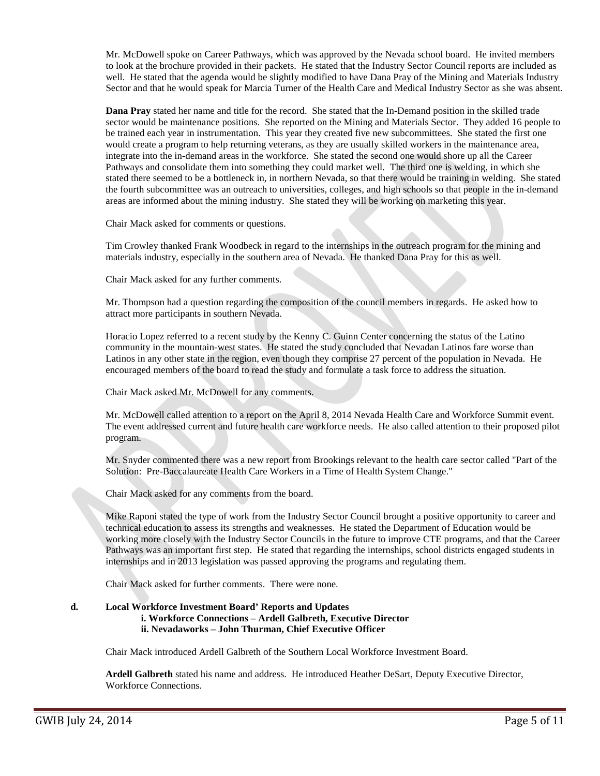Mr. McDowell spoke on Career Pathways, which was approved by the Nevada school board. He invited members to look at the brochure provided in their packets. He stated that the Industry Sector Council reports are included as well. He stated that the agenda would be slightly modified to have Dana Pray of the Mining and Materials Industry Sector and that he would speak for Marcia Turner of the Health Care and Medical Industry Sector as she was absent.

**Dana Pray** stated her name and title for the record. She stated that the In-Demand position in the skilled trade sector would be maintenance positions. She reported on the Mining and Materials Sector. They added 16 people to be trained each year in instrumentation. This year they created five new subcommittees. She stated the first one would create a program to help returning veterans, as they are usually skilled workers in the maintenance area, integrate into the in-demand areas in the workforce. She stated the second one would shore up all the Career Pathways and consolidate them into something they could market well. The third one is welding, in which she stated there seemed to be a bottleneck in, in northern Nevada, so that there would be training in welding. She stated the fourth subcommittee was an outreach to universities, colleges, and high schools so that people in the in-demand areas are informed about the mining industry. She stated they will be working on marketing this year.

Chair Mack asked for comments or questions.

Tim Crowley thanked Frank Woodbeck in regard to the internships in the outreach program for the mining and materials industry, especially in the southern area of Nevada. He thanked Dana Pray for this as well.

Chair Mack asked for any further comments.

Mr. Thompson had a question regarding the composition of the council members in regards. He asked how to attract more participants in southern Nevada.

Horacio Lopez referred to a recent study by the Kenny C. Guinn Center concerning the status of the Latino community in the mountain-west states. He stated the study concluded that Nevadan Latinos fare worse than Latinos in any other state in the region, even though they comprise 27 percent of the population in Nevada. He encouraged members of the board to read the study and formulate a task force to address the situation.

Chair Mack asked Mr. McDowell for any comments.

Mr. McDowell called attention to a report on the April 8, 2014 Nevada Health Care and Workforce Summit event. The event addressed current and future health care workforce needs. He also called attention to their proposed pilot program.

Mr. Snyder commented there was a new report from Brookings relevant to the health care sector called "Part of the Solution: Pre-Baccalaureate Health Care Workers in a Time of Health System Change."

Chair Mack asked for any comments from the board.

Mike Raponi stated the type of work from the Industry Sector Council brought a positive opportunity to career and technical education to assess its strengths and weaknesses. He stated the Department of Education would be working more closely with the Industry Sector Councils in the future to improve CTE programs, and that the Career Pathways was an important first step. He stated that regarding the internships, school districts engaged students in internships and in 2013 legislation was passed approving the programs and regulating them.

Chair Mack asked for further comments. There were none.

## **d. Local Workforce Investment Board' Reports and Updates i. Workforce Connections – Ardell Galbreth, Executive Director ii. Nevadaworks – John Thurman, Chief Executive Officer**

Chair Mack introduced Ardell Galbreth of the Southern Local Workforce Investment Board.

**Ardell Galbreth** stated his name and address. He introduced Heather DeSart, Deputy Executive Director, Workforce Connections.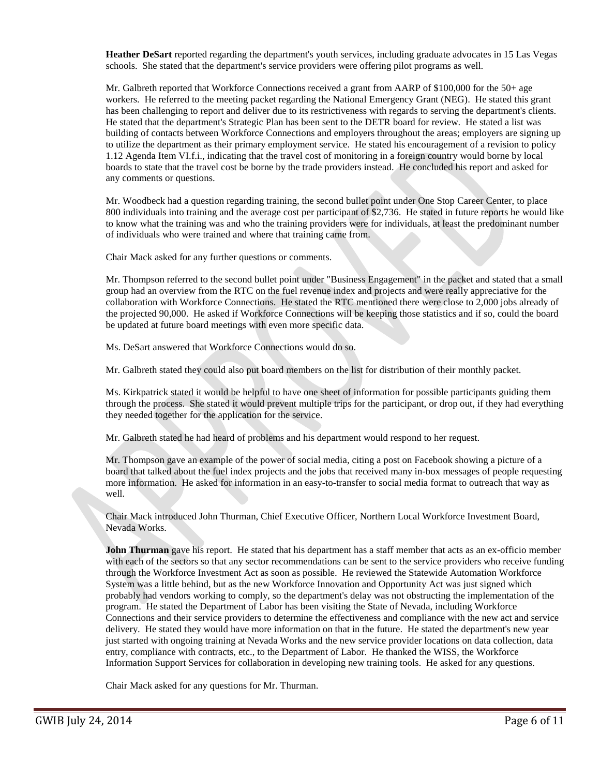**Heather DeSart** reported regarding the department's youth services, including graduate advocates in 15 Las Vegas schools. She stated that the department's service providers were offering pilot programs as well.

Mr. Galbreth reported that Workforce Connections received a grant from AARP of \$100,000 for the 50+ age workers. He referred to the meeting packet regarding the National Emergency Grant (NEG). He stated this grant has been challenging to report and deliver due to its restrictiveness with regards to serving the department's clients. He stated that the department's Strategic Plan has been sent to the DETR board for review. He stated a list was building of contacts between Workforce Connections and employers throughout the areas; employers are signing up to utilize the department as their primary employment service. He stated his encouragement of a revision to policy 1.12 Agenda Item VI.f.i., indicating that the travel cost of monitoring in a foreign country would borne by local boards to state that the travel cost be borne by the trade providers instead. He concluded his report and asked for any comments or questions.

Mr. Woodbeck had a question regarding training, the second bullet point under One Stop Career Center, to place 800 individuals into training and the average cost per participant of \$2,736. He stated in future reports he would like to know what the training was and who the training providers were for individuals, at least the predominant number of individuals who were trained and where that training came from.

Chair Mack asked for any further questions or comments.

Mr. Thompson referred to the second bullet point under "Business Engagement" in the packet and stated that a small group had an overview from the RTC on the fuel revenue index and projects and were really appreciative for the collaboration with Workforce Connections. He stated the RTC mentioned there were close to 2,000 jobs already of the projected 90,000. He asked if Workforce Connections will be keeping those statistics and if so, could the board be updated at future board meetings with even more specific data.

Ms. DeSart answered that Workforce Connections would do so.

Mr. Galbreth stated they could also put board members on the list for distribution of their monthly packet.

Ms. Kirkpatrick stated it would be helpful to have one sheet of information for possible participants guiding them through the process. She stated it would prevent multiple trips for the participant, or drop out, if they had everything they needed together for the application for the service.

Mr. Galbreth stated he had heard of problems and his department would respond to her request.

Mr. Thompson gave an example of the power of social media, citing a post on Facebook showing a picture of a board that talked about the fuel index projects and the jobs that received many in-box messages of people requesting more information. He asked for information in an easy-to-transfer to social media format to outreach that way as well.

Chair Mack introduced John Thurman, Chief Executive Officer, Northern Local Workforce Investment Board, Nevada Works.

**John Thurman** gave his report. He stated that his department has a staff member that acts as an ex-officio member with each of the sectors so that any sector recommendations can be sent to the service providers who receive funding through the Workforce Investment Act as soon as possible. He reviewed the Statewide Automation Workforce System was a little behind, but as the new Workforce Innovation and Opportunity Act was just signed which probably had vendors working to comply, so the department's delay was not obstructing the implementation of the program. He stated the Department of Labor has been visiting the State of Nevada, including Workforce Connections and their service providers to determine the effectiveness and compliance with the new act and service delivery. He stated they would have more information on that in the future. He stated the department's new year just started with ongoing training at Nevada Works and the new service provider locations on data collection, data entry, compliance with contracts, etc., to the Department of Labor. He thanked the WISS, the Workforce Information Support Services for collaboration in developing new training tools. He asked for any questions.

Chair Mack asked for any questions for Mr. Thurman.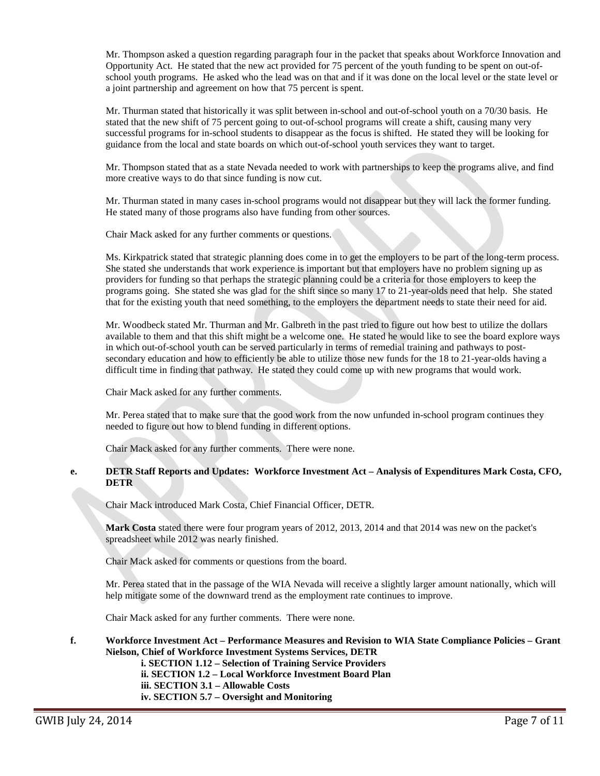Mr. Thompson asked a question regarding paragraph four in the packet that speaks about Workforce Innovation and Opportunity Act. He stated that the new act provided for 75 percent of the youth funding to be spent on out-ofschool youth programs. He asked who the lead was on that and if it was done on the local level or the state level or a joint partnership and agreement on how that 75 percent is spent.

Mr. Thurman stated that historically it was split between in-school and out-of-school youth on a 70/30 basis. He stated that the new shift of 75 percent going to out-of-school programs will create a shift, causing many very successful programs for in-school students to disappear as the focus is shifted. He stated they will be looking for guidance from the local and state boards on which out-of-school youth services they want to target.

Mr. Thompson stated that as a state Nevada needed to work with partnerships to keep the programs alive, and find more creative ways to do that since funding is now cut.

Mr. Thurman stated in many cases in-school programs would not disappear but they will lack the former funding. He stated many of those programs also have funding from other sources.

Chair Mack asked for any further comments or questions.

Ms. Kirkpatrick stated that strategic planning does come in to get the employers to be part of the long-term process. She stated she understands that work experience is important but that employers have no problem signing up as providers for funding so that perhaps the strategic planning could be a criteria for those employers to keep the programs going. She stated she was glad for the shift since so many 17 to 21-year-olds need that help. She stated that for the existing youth that need something, to the employers the department needs to state their need for aid.

Mr. Woodbeck stated Mr. Thurman and Mr. Galbreth in the past tried to figure out how best to utilize the dollars available to them and that this shift might be a welcome one. He stated he would like to see the board explore ways in which out-of-school youth can be served particularly in terms of remedial training and pathways to postsecondary education and how to efficiently be able to utilize those new funds for the 18 to 21-year-olds having a difficult time in finding that pathway. He stated they could come up with new programs that would work.

Chair Mack asked for any further comments.

Mr. Perea stated that to make sure that the good work from the now unfunded in-school program continues they needed to figure out how to blend funding in different options.

Chair Mack asked for any further comments. There were none.

## **e. DETR Staff Reports and Updates: Workforce Investment Act – Analysis of Expenditures Mark Costa, CFO, DETR**

Chair Mack introduced Mark Costa, Chief Financial Officer, DETR.

**Mark Costa** stated there were four program years of 2012, 2013, 2014 and that 2014 was new on the packet's spreadsheet while 2012 was nearly finished.

Chair Mack asked for comments or questions from the board.

Mr. Perea stated that in the passage of the WIA Nevada will receive a slightly larger amount nationally, which will help mitigate some of the downward trend as the employment rate continues to improve.

Chair Mack asked for any further comments. There were none.

#### **f. Workforce Investment Act – Performance Measures and Revision to WIA State Compliance Policies – Grant Nielson, Chief of Workforce Investment Systems Services, DETR**

**i. SECTION 1.12 – Selection of Training Service Providers ii. SECTION 1.2 – Local Workforce Investment Board Plan iii. SECTION 3.1 – Allowable Costs iv. SECTION 5.7 – Oversight and Monitoring**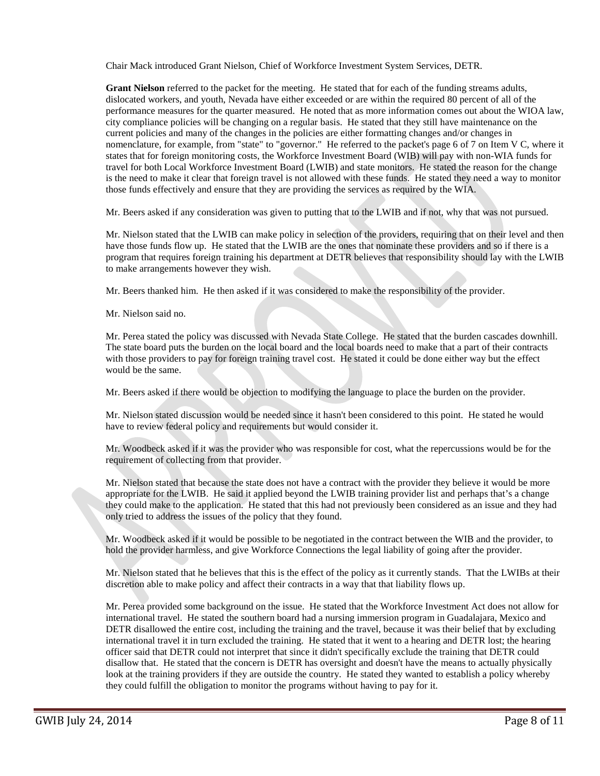Chair Mack introduced Grant Nielson, Chief of Workforce Investment System Services, DETR.

**Grant Nielson** referred to the packet for the meeting. He stated that for each of the funding streams adults, dislocated workers, and youth, Nevada have either exceeded or are within the required 80 percent of all of the performance measures for the quarter measured. He noted that as more information comes out about the WIOA law, city compliance policies will be changing on a regular basis. He stated that they still have maintenance on the current policies and many of the changes in the policies are either formatting changes and/or changes in nomenclature, for example, from "state" to "governor." He referred to the packet's page 6 of 7 on Item V C, where it states that for foreign monitoring costs, the Workforce Investment Board (WIB) will pay with non-WIA funds for travel for both Local Workforce Investment Board (LWIB) and state monitors. He stated the reason for the change is the need to make it clear that foreign travel is not allowed with these funds. He stated they need a way to monitor those funds effectively and ensure that they are providing the services as required by the WIA.

Mr. Beers asked if any consideration was given to putting that to the LWIB and if not, why that was not pursued.

Mr. Nielson stated that the LWIB can make policy in selection of the providers, requiring that on their level and then have those funds flow up. He stated that the LWIB are the ones that nominate these providers and so if there is a program that requires foreign training his department at DETR believes that responsibility should lay with the LWIB to make arrangements however they wish.

Mr. Beers thanked him. He then asked if it was considered to make the responsibility of the provider.

Mr. Nielson said no.

Mr. Perea stated the policy was discussed with Nevada State College. He stated that the burden cascades downhill. The state board puts the burden on the local board and the local boards need to make that a part of their contracts with those providers to pay for foreign training travel cost. He stated it could be done either way but the effect would be the same.

Mr. Beers asked if there would be objection to modifying the language to place the burden on the provider.

Mr. Nielson stated discussion would be needed since it hasn't been considered to this point. He stated he would have to review federal policy and requirements but would consider it.

Mr. Woodbeck asked if it was the provider who was responsible for cost, what the repercussions would be for the requirement of collecting from that provider.

Mr. Nielson stated that because the state does not have a contract with the provider they believe it would be more appropriate for the LWIB. He said it applied beyond the LWIB training provider list and perhaps that's a change they could make to the application. He stated that this had not previously been considered as an issue and they had only tried to address the issues of the policy that they found.

Mr. Woodbeck asked if it would be possible to be negotiated in the contract between the WIB and the provider, to hold the provider harmless, and give Workforce Connections the legal liability of going after the provider.

Mr. Nielson stated that he believes that this is the effect of the policy as it currently stands. That the LWIBs at their discretion able to make policy and affect their contracts in a way that that liability flows up.

Mr. Perea provided some background on the issue. He stated that the Workforce Investment Act does not allow for international travel. He stated the southern board had a nursing immersion program in Guadalajara, Mexico and DETR disallowed the entire cost, including the training and the travel, because it was their belief that by excluding international travel it in turn excluded the training. He stated that it went to a hearing and DETR lost; the hearing officer said that DETR could not interpret that since it didn't specifically exclude the training that DETR could disallow that. He stated that the concern is DETR has oversight and doesn't have the means to actually physically look at the training providers if they are outside the country. He stated they wanted to establish a policy whereby they could fulfill the obligation to monitor the programs without having to pay for it.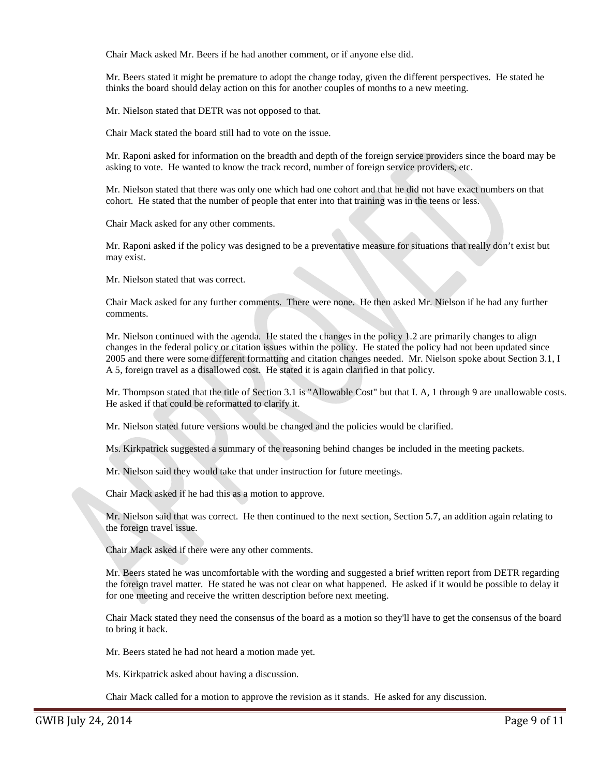Chair Mack asked Mr. Beers if he had another comment, or if anyone else did.

Mr. Beers stated it might be premature to adopt the change today, given the different perspectives. He stated he thinks the board should delay action on this for another couples of months to a new meeting.

Mr. Nielson stated that DETR was not opposed to that.

Chair Mack stated the board still had to vote on the issue.

Mr. Raponi asked for information on the breadth and depth of the foreign service providers since the board may be asking to vote. He wanted to know the track record, number of foreign service providers, etc.

Mr. Nielson stated that there was only one which had one cohort and that he did not have exact numbers on that cohort. He stated that the number of people that enter into that training was in the teens or less.

Chair Mack asked for any other comments.

Mr. Raponi asked if the policy was designed to be a preventative measure for situations that really don't exist but may exist.

Mr. Nielson stated that was correct.

Chair Mack asked for any further comments. There were none. He then asked Mr. Nielson if he had any further comments.

Mr. Nielson continued with the agenda. He stated the changes in the policy 1.2 are primarily changes to align changes in the federal policy or citation issues within the policy. He stated the policy had not been updated since 2005 and there were some different formatting and citation changes needed. Mr. Nielson spoke about Section 3.1, I A 5, foreign travel as a disallowed cost. He stated it is again clarified in that policy.

Mr. Thompson stated that the title of Section 3.1 is "Allowable Cost" but that I. A, 1 through 9 are unallowable costs. He asked if that could be reformatted to clarify it.

Mr. Nielson stated future versions would be changed and the policies would be clarified.

Ms. Kirkpatrick suggested a summary of the reasoning behind changes be included in the meeting packets.

Mr. Nielson said they would take that under instruction for future meetings.

Chair Mack asked if he had this as a motion to approve.

Mr. Nielson said that was correct. He then continued to the next section, Section 5.7, an addition again relating to the foreign travel issue.

Chair Mack asked if there were any other comments.

Mr. Beers stated he was uncomfortable with the wording and suggested a brief written report from DETR regarding the foreign travel matter. He stated he was not clear on what happened. He asked if it would be possible to delay it for one meeting and receive the written description before next meeting.

Chair Mack stated they need the consensus of the board as a motion so they'll have to get the consensus of the board to bring it back.

Mr. Beers stated he had not heard a motion made yet.

Ms. Kirkpatrick asked about having a discussion.

Chair Mack called for a motion to approve the revision as it stands. He asked for any discussion.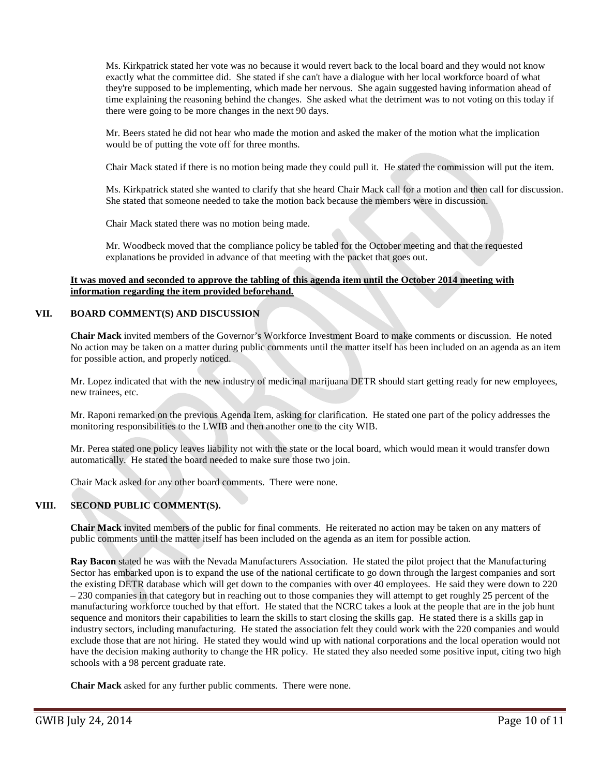Ms. Kirkpatrick stated her vote was no because it would revert back to the local board and they would not know exactly what the committee did. She stated if she can't have a dialogue with her local workforce board of what they're supposed to be implementing, which made her nervous. She again suggested having information ahead of time explaining the reasoning behind the changes. She asked what the detriment was to not voting on this today if there were going to be more changes in the next 90 days.

Mr. Beers stated he did not hear who made the motion and asked the maker of the motion what the implication would be of putting the vote off for three months.

Chair Mack stated if there is no motion being made they could pull it. He stated the commission will put the item.

Ms. Kirkpatrick stated she wanted to clarify that she heard Chair Mack call for a motion and then call for discussion. She stated that someone needed to take the motion back because the members were in discussion.

Chair Mack stated there was no motion being made.

Mr. Woodbeck moved that the compliance policy be tabled for the October meeting and that the requested explanations be provided in advance of that meeting with the packet that goes out.

## **It was moved and seconded to approve the tabling of this agenda item until the October 2014 meeting with information regarding the item provided beforehand.**

## **VII. BOARD COMMENT(S) AND DISCUSSION**

**Chair Mack** invited members of the Governor's Workforce Investment Board to make comments or discussion. He noted No action may be taken on a matter during public comments until the matter itself has been included on an agenda as an item for possible action, and properly noticed.

Mr. Lopez indicated that with the new industry of medicinal marijuana DETR should start getting ready for new employees, new trainees, etc.

Mr. Raponi remarked on the previous Agenda Item, asking for clarification. He stated one part of the policy addresses the monitoring responsibilities to the LWIB and then another one to the city WIB.

Mr. Perea stated one policy leaves liability not with the state or the local board, which would mean it would transfer down automatically. He stated the board needed to make sure those two join.

Chair Mack asked for any other board comments. There were none.

## **VIII. SECOND PUBLIC COMMENT(S).**

**Chair Mack** invited members of the public for final comments. He reiterated no action may be taken on any matters of public comments until the matter itself has been included on the agenda as an item for possible action.

**Ray Bacon** stated he was with the Nevada Manufacturers Association. He stated the pilot project that the Manufacturing Sector has embarked upon is to expand the use of the national certificate to go down through the largest companies and sort the existing DETR database which will get down to the companies with over 40 employees. He said they were down to 220 – 230 companies in that category but in reaching out to those companies they will attempt to get roughly 25 percent of the manufacturing workforce touched by that effort. He stated that the NCRC takes a look at the people that are in the job hunt sequence and monitors their capabilities to learn the skills to start closing the skills gap. He stated there is a skills gap in industry sectors, including manufacturing. He stated the association felt they could work with the 220 companies and would exclude those that are not hiring. He stated they would wind up with national corporations and the local operation would not have the decision making authority to change the HR policy. He stated they also needed some positive input, citing two high schools with a 98 percent graduate rate.

**Chair Mack** asked for any further public comments. There were none.